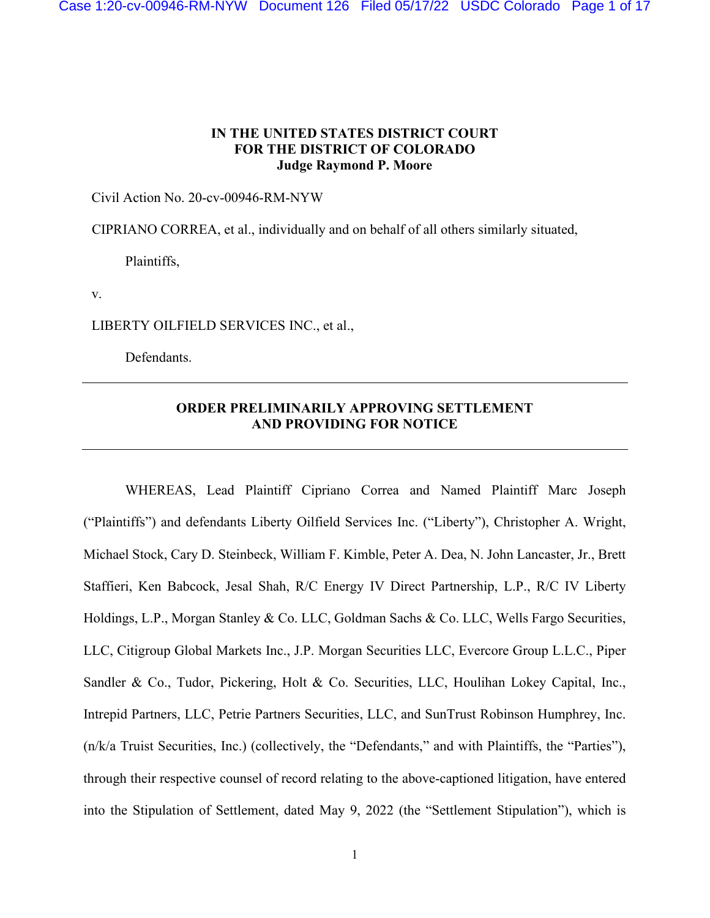Case 1:20-cv-00946-RM-NYW Document 126 Filed 05/17/22 USDC Colorado Page 1 of 17

## **IN THE UNITED STATES DISTRICT COURT FOR THE DISTRICT OF COLORADO Judge Raymond P. Moore**

Civil Action No. 20-cv-00946-RM-NYW

CIPRIANO CORREA, et al., individually and on behalf of all others similarly situated,

Plaintiffs,

v.

LIBERTY OILFIELD SERVICES INC., et al.,

Defendants.

## **ORDER PRELIMINARILY APPROVING SETTLEMENT AND PROVIDING FOR NOTICE**

WHEREAS, Lead Plaintiff Cipriano Correa and Named Plaintiff Marc Joseph ("Plaintiffs") and defendants Liberty Oilfield Services Inc. ("Liberty"), Christopher A. Wright, Michael Stock, Cary D. Steinbeck, William F. Kimble, Peter A. Dea, N. John Lancaster, Jr., Brett Staffieri, Ken Babcock, Jesal Shah, R/C Energy IV Direct Partnership, L.P., R/C IV Liberty Holdings, L.P., Morgan Stanley & Co. LLC, Goldman Sachs & Co. LLC, Wells Fargo Securities, LLC, Citigroup Global Markets Inc., J.P. Morgan Securities LLC, Evercore Group L.L.C., Piper Sandler & Co., Tudor, Pickering, Holt & Co. Securities, LLC, Houlihan Lokey Capital, Inc., Intrepid Partners, LLC, Petrie Partners Securities, LLC, and SunTrust Robinson Humphrey, Inc. (n/k/a Truist Securities, Inc.) (collectively, the "Defendants," and with Plaintiffs, the "Parties"), through their respective counsel of record relating to the above-captioned litigation, have entered into the Stipulation of Settlement, dated May 9, 2022 (the "Settlement Stipulation"), which is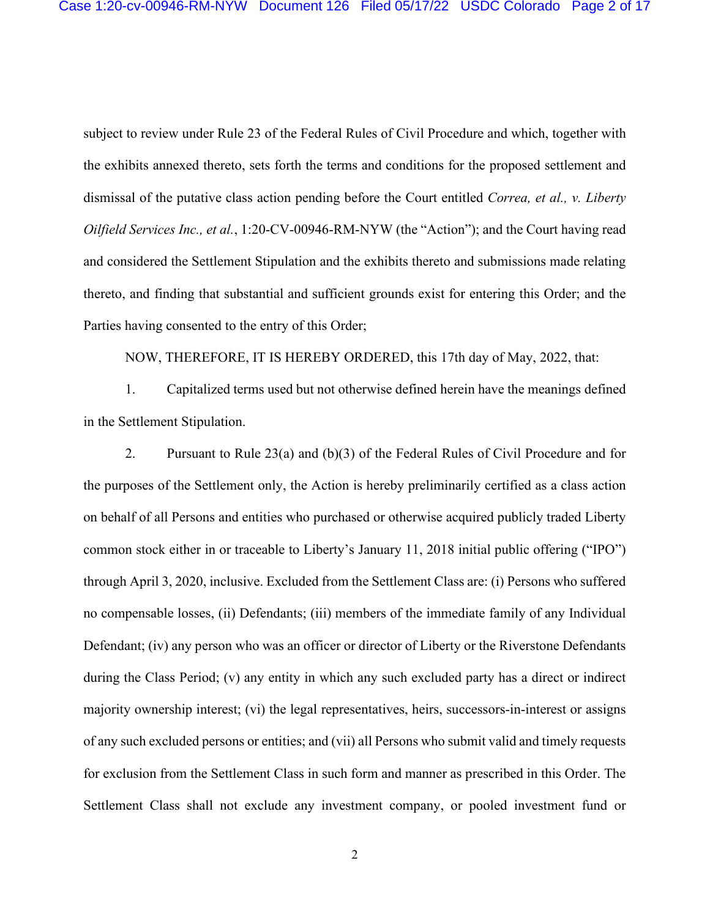subject to review under Rule 23 of the Federal Rules of Civil Procedure and which, together with the exhibits annexed thereto, sets forth the terms and conditions for the proposed settlement and dismissal of the putative class action pending before the Court entitled *Correa, et al., v. Liberty Oilfield Services Inc., et al.*, 1:20-CV-00946-RM-NYW (the "Action"); and the Court having read and considered the Settlement Stipulation and the exhibits thereto and submissions made relating thereto, and finding that substantial and sufficient grounds exist for entering this Order; and the Parties having consented to the entry of this Order;

NOW, THEREFORE, IT IS HEREBY ORDERED, this 17th day of May, 2022, that:

1. Capitalized terms used but not otherwise defined herein have the meanings defined in the Settlement Stipulation.

2. Pursuant to Rule 23(a) and (b)(3) of the Federal Rules of Civil Procedure and for the purposes of the Settlement only, the Action is hereby preliminarily certified as a class action on behalf of all Persons and entities who purchased or otherwise acquired publicly traded Liberty common stock either in or traceable to Liberty's January 11, 2018 initial public offering ("IPO") through April 3, 2020, inclusive. Excluded from the Settlement Class are: (i) Persons who suffered no compensable losses, (ii) Defendants; (iii) members of the immediate family of any Individual Defendant; (iv) any person who was an officer or director of Liberty or the Riverstone Defendants during the Class Period; (v) any entity in which any such excluded party has a direct or indirect majority ownership interest; (vi) the legal representatives, heirs, successors-in-interest or assigns of any such excluded persons or entities; and (vii) all Persons who submit valid and timely requests for exclusion from the Settlement Class in such form and manner as prescribed in this Order. The Settlement Class shall not exclude any investment company, or pooled investment fund or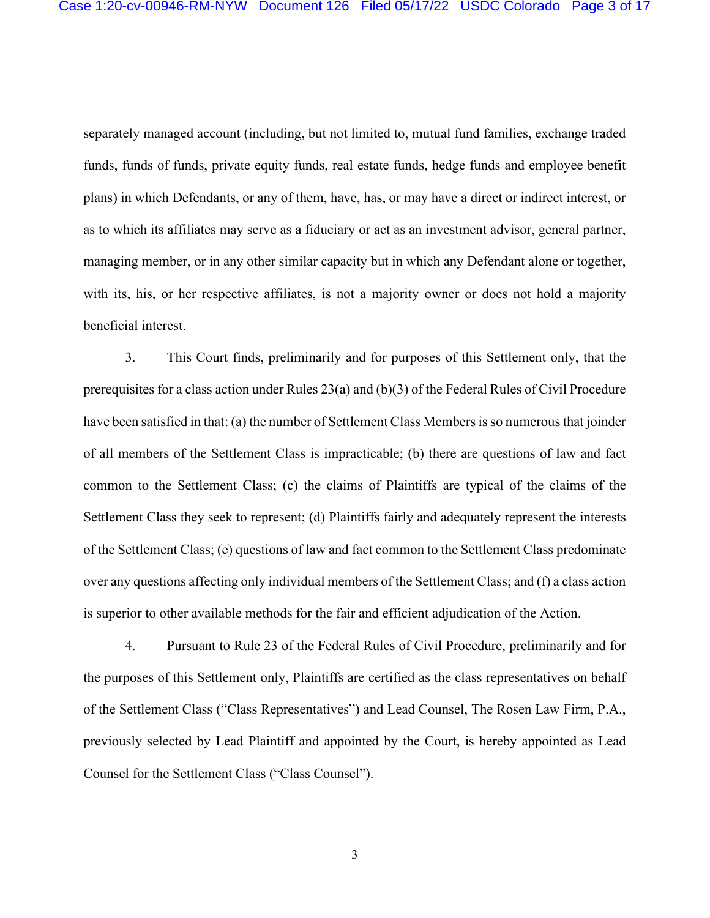separately managed account (including, but not limited to, mutual fund families, exchange traded funds, funds of funds, private equity funds, real estate funds, hedge funds and employee benefit plans) in which Defendants, or any of them, have, has, or may have a direct or indirect interest, or as to which its affiliates may serve as a fiduciary or act as an investment advisor, general partner, managing member, or in any other similar capacity but in which any Defendant alone or together, with its, his, or her respective affiliates, is not a majority owner or does not hold a majority beneficial interest.

3. This Court finds, preliminarily and for purposes of this Settlement only, that the prerequisites for a class action under Rules 23(a) and (b)(3) of the Federal Rules of Civil Procedure have been satisfied in that: (a) the number of Settlement Class Members is so numerous that joinder of all members of the Settlement Class is impracticable; (b) there are questions of law and fact common to the Settlement Class; (c) the claims of Plaintiffs are typical of the claims of the Settlement Class they seek to represent; (d) Plaintiffs fairly and adequately represent the interests of the Settlement Class; (e) questions of law and fact common to the Settlement Class predominate over any questions affecting only individual members of the Settlement Class; and (f) a class action is superior to other available methods for the fair and efficient adjudication of the Action.

4. Pursuant to Rule 23 of the Federal Rules of Civil Procedure, preliminarily and for the purposes of this Settlement only, Plaintiffs are certified as the class representatives on behalf of the Settlement Class ("Class Representatives") and Lead Counsel, The Rosen Law Firm, P.A., previously selected by Lead Plaintiff and appointed by the Court, is hereby appointed as Lead Counsel for the Settlement Class ("Class Counsel").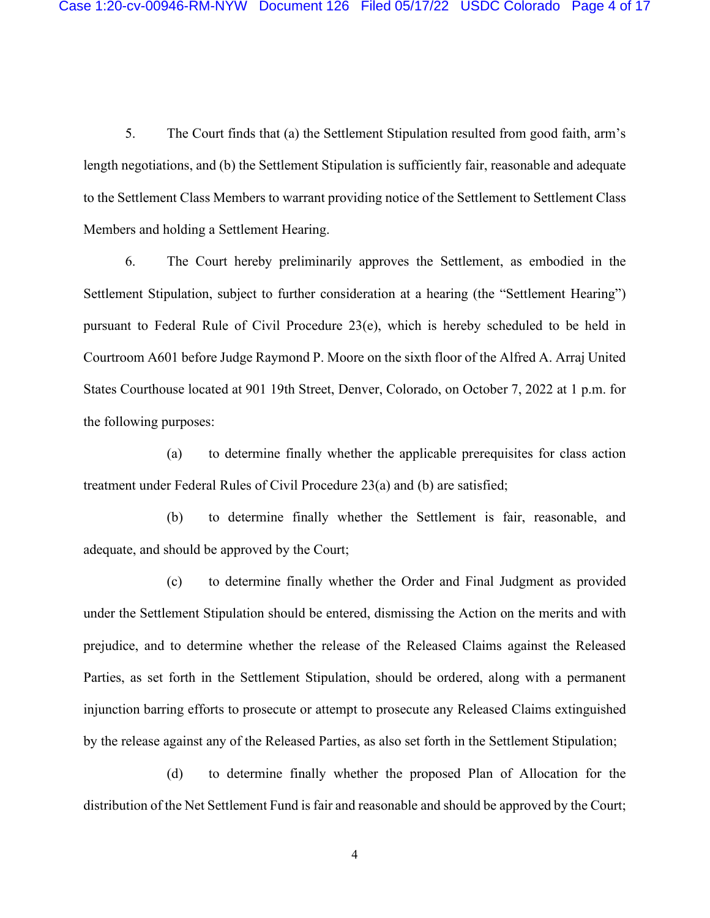5. The Court finds that (a) the Settlement Stipulation resulted from good faith, arm's length negotiations, and (b) the Settlement Stipulation is sufficiently fair, reasonable and adequate to the Settlement Class Members to warrant providing notice of the Settlement to Settlement Class Members and holding a Settlement Hearing.

6. The Court hereby preliminarily approves the Settlement, as embodied in the Settlement Stipulation, subject to further consideration at a hearing (the "Settlement Hearing") pursuant to Federal Rule of Civil Procedure 23(e), which is hereby scheduled to be held in Courtroom A601 before Judge Raymond P. Moore on the sixth floor of the Alfred A. Arraj United States Courthouse located at 901 19th Street, Denver, Colorado, on October 7, 2022 at 1 p.m. for the following purposes:

(a) to determine finally whether the applicable prerequisites for class action treatment under Federal Rules of Civil Procedure 23(a) and (b) are satisfied;

(b) to determine finally whether the Settlement is fair, reasonable, and adequate, and should be approved by the Court;

(c) to determine finally whether the Order and Final Judgment as provided under the Settlement Stipulation should be entered, dismissing the Action on the merits and with prejudice, and to determine whether the release of the Released Claims against the Released Parties, as set forth in the Settlement Stipulation, should be ordered, along with a permanent injunction barring efforts to prosecute or attempt to prosecute any Released Claims extinguished by the release against any of the Released Parties, as also set forth in the Settlement Stipulation;

(d) to determine finally whether the proposed Plan of Allocation for the distribution of the Net Settlement Fund is fair and reasonable and should be approved by the Court;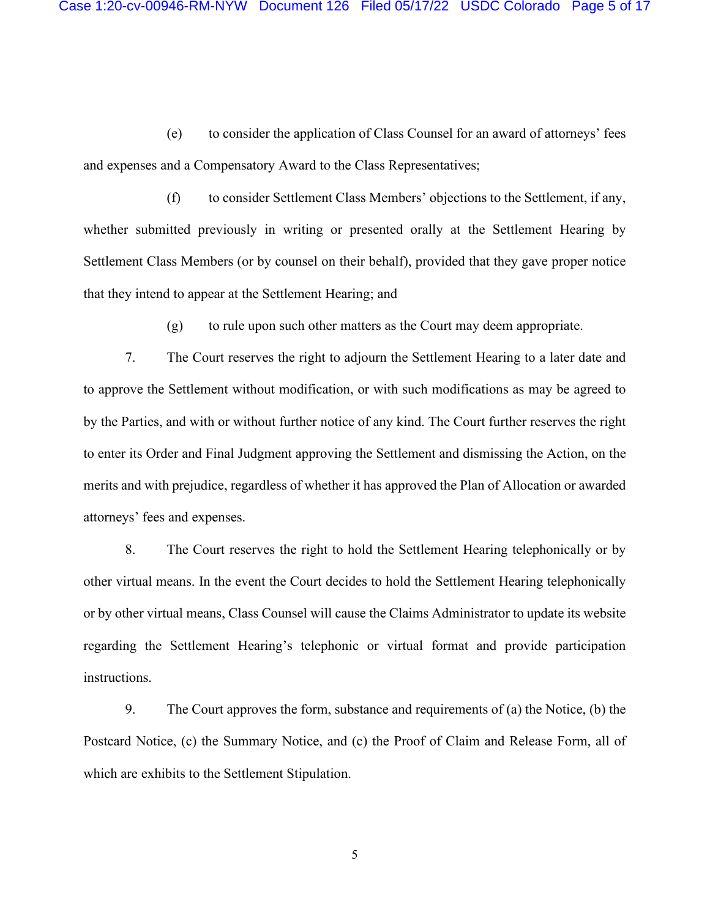(e) to consider the application of Class Counsel for an award of attorneys' fees and expenses and a Compensatory Award to the Class Representatives;

(f) to consider Settlement Class Members' objections to the Settlement, if any, whether submitted previously in writing or presented orally at the Settlement Hearing by Settlement Class Members (or by counsel on their behalf), provided that they gave proper notice that they intend to appear at the Settlement Hearing; and

(g) to rule upon such other matters as the Court may deem appropriate.

7. The Court reserves the right to adjourn the Settlement Hearing to a later date and to approve the Settlement without modification, or with such modifications as may be agreed to by the Parties, and with or without further notice of any kind. The Court further reserves the right to enter its Order and Final Judgment approving the Settlement and dismissing the Action, on the merits and with prejudice, regardless of whether it has approved the Plan of Allocation or awarded attorneys' fees and expenses.

8. The Court reserves the right to hold the Settlement Hearing telephonically or by other virtual means. In the event the Court decides to hold the Settlement Hearing telephonically or by other virtual means, Class Counsel will cause the Claims Administrator to update its website regarding the Settlement Hearing's telephonic or virtual format and provide participation instructions.

9. The Court approves the form, substance and requirements of (a) the Notice, (b) the Postcard Notice, (c) the Summary Notice, and (c) the Proof of Claim and Release Form, all of which are exhibits to the Settlement Stipulation.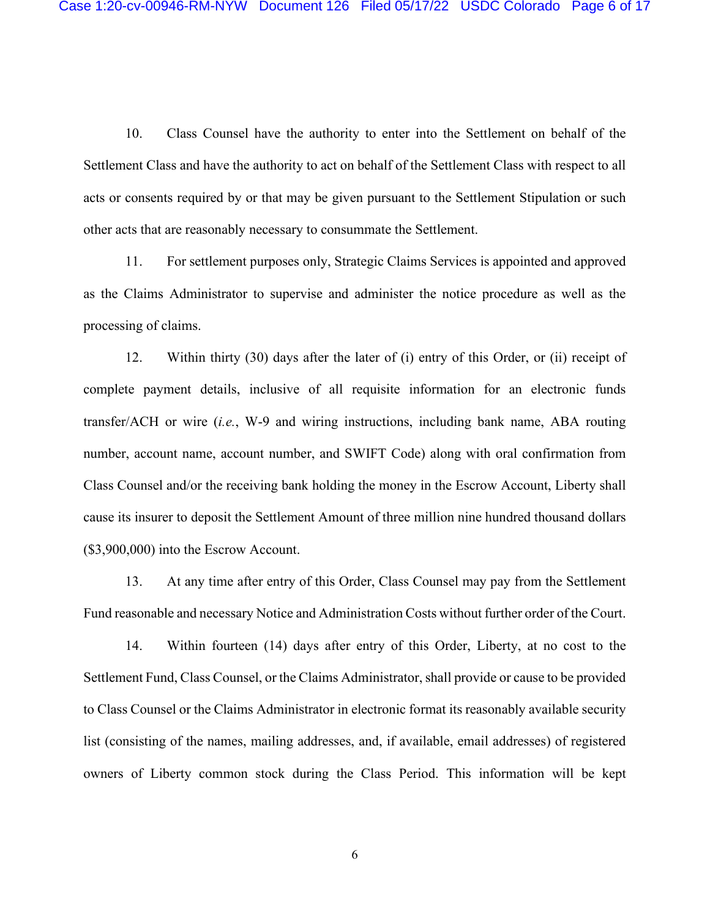10. Class Counsel have the authority to enter into the Settlement on behalf of the Settlement Class and have the authority to act on behalf of the Settlement Class with respect to all acts or consents required by or that may be given pursuant to the Settlement Stipulation or such other acts that are reasonably necessary to consummate the Settlement.

11. For settlement purposes only, Strategic Claims Services is appointed and approved as the Claims Administrator to supervise and administer the notice procedure as well as the processing of claims.

12. Within thirty (30) days after the later of (i) entry of this Order, or (ii) receipt of complete payment details, inclusive of all requisite information for an electronic funds transfer/ACH or wire (*i.e.*, W-9 and wiring instructions, including bank name, ABA routing number, account name, account number, and SWIFT Code) along with oral confirmation from Class Counsel and/or the receiving bank holding the money in the Escrow Account, Liberty shall cause its insurer to deposit the Settlement Amount of three million nine hundred thousand dollars (\$3,900,000) into the Escrow Account.

13. At any time after entry of this Order, Class Counsel may pay from the Settlement Fund reasonable and necessary Notice and Administration Costs without further order of the Court.

14. Within fourteen (14) days after entry of this Order, Liberty, at no cost to the Settlement Fund, Class Counsel, or the Claims Administrator, shall provide or cause to be provided to Class Counsel or the Claims Administrator in electronic format its reasonably available security list (consisting of the names, mailing addresses, and, if available, email addresses) of registered owners of Liberty common stock during the Class Period. This information will be kept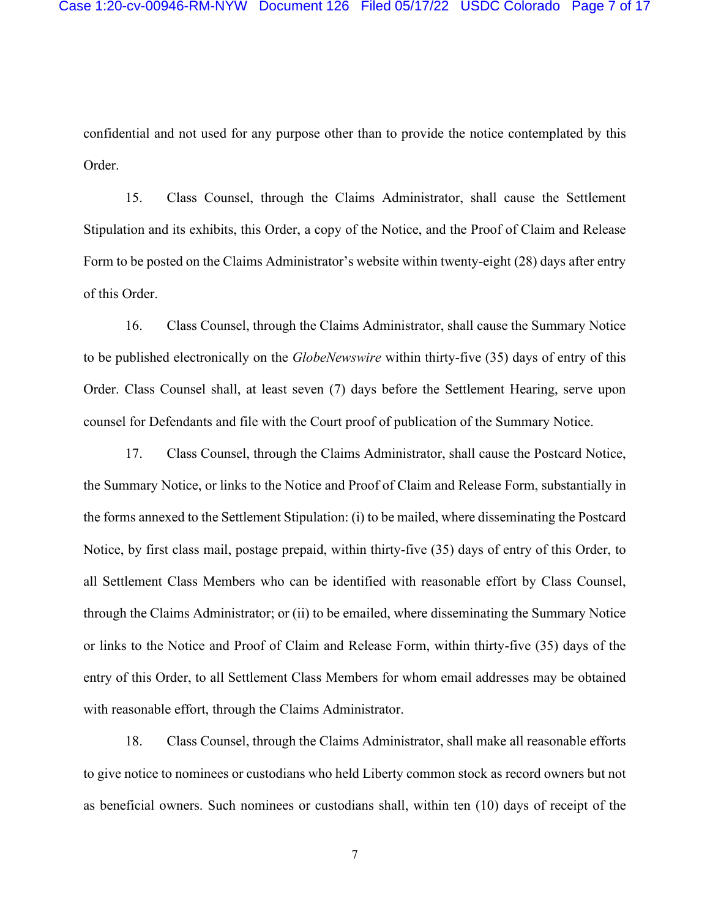confidential and not used for any purpose other than to provide the notice contemplated by this Order.

15. Class Counsel, through the Claims Administrator, shall cause the Settlement Stipulation and its exhibits, this Order, a copy of the Notice, and the Proof of Claim and Release Form to be posted on the Claims Administrator's website within twenty-eight (28) days after entry of this Order.

16. Class Counsel, through the Claims Administrator, shall cause the Summary Notice to be published electronically on the *GlobeNewswire* within thirty-five (35) days of entry of this Order. Class Counsel shall, at least seven (7) days before the Settlement Hearing, serve upon counsel for Defendants and file with the Court proof of publication of the Summary Notice.

17. Class Counsel, through the Claims Administrator, shall cause the Postcard Notice, the Summary Notice, or links to the Notice and Proof of Claim and Release Form, substantially in the forms annexed to the Settlement Stipulation: (i) to be mailed, where disseminating the Postcard Notice, by first class mail, postage prepaid, within thirty-five (35) days of entry of this Order, to all Settlement Class Members who can be identified with reasonable effort by Class Counsel, through the Claims Administrator; or (ii) to be emailed, where disseminating the Summary Notice or links to the Notice and Proof of Claim and Release Form, within thirty-five (35) days of the entry of this Order, to all Settlement Class Members for whom email addresses may be obtained with reasonable effort, through the Claims Administrator.

18. Class Counsel, through the Claims Administrator, shall make all reasonable efforts to give notice to nominees or custodians who held Liberty common stock as record owners but not as beneficial owners. Such nominees or custodians shall, within ten (10) days of receipt of the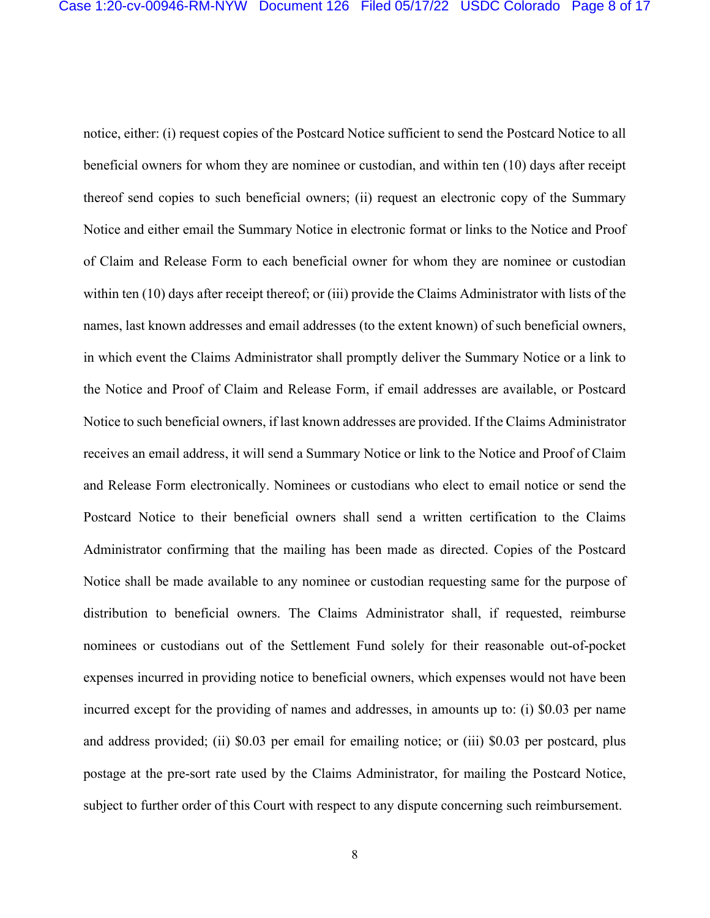notice, either: (i) request copies of the Postcard Notice sufficient to send the Postcard Notice to all beneficial owners for whom they are nominee or custodian, and within ten (10) days after receipt thereof send copies to such beneficial owners; (ii) request an electronic copy of the Summary Notice and either email the Summary Notice in electronic format or links to the Notice and Proof of Claim and Release Form to each beneficial owner for whom they are nominee or custodian within ten (10) days after receipt thereof; or (iii) provide the Claims Administrator with lists of the names, last known addresses and email addresses (to the extent known) of such beneficial owners, in which event the Claims Administrator shall promptly deliver the Summary Notice or a link to the Notice and Proof of Claim and Release Form, if email addresses are available, or Postcard Notice to such beneficial owners, if last known addresses are provided. If the Claims Administrator receives an email address, it will send a Summary Notice or link to the Notice and Proof of Claim and Release Form electronically. Nominees or custodians who elect to email notice or send the Postcard Notice to their beneficial owners shall send a written certification to the Claims Administrator confirming that the mailing has been made as directed. Copies of the Postcard Notice shall be made available to any nominee or custodian requesting same for the purpose of distribution to beneficial owners. The Claims Administrator shall, if requested, reimburse nominees or custodians out of the Settlement Fund solely for their reasonable out-of-pocket expenses incurred in providing notice to beneficial owners, which expenses would not have been incurred except for the providing of names and addresses, in amounts up to: (i) \$0.03 per name and address provided; (ii) \$0.03 per email for emailing notice; or (iii) \$0.03 per postcard, plus postage at the pre-sort rate used by the Claims Administrator, for mailing the Postcard Notice, subject to further order of this Court with respect to any dispute concerning such reimbursement.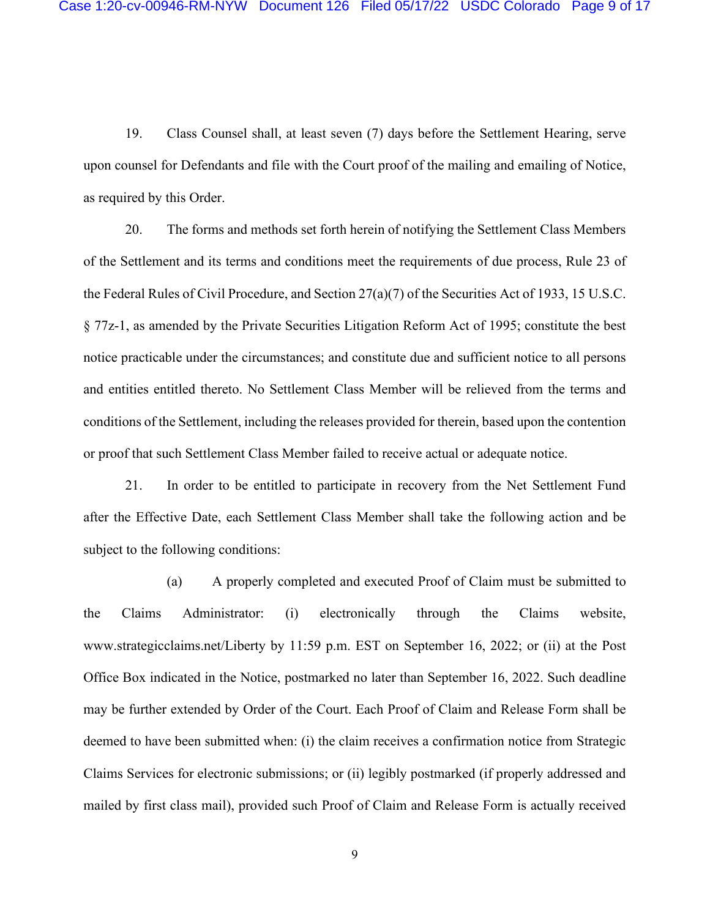19. Class Counsel shall, at least seven (7) days before the Settlement Hearing, serve upon counsel for Defendants and file with the Court proof of the mailing and emailing of Notice, as required by this Order.

20. The forms and methods set forth herein of notifying the Settlement Class Members of the Settlement and its terms and conditions meet the requirements of due process, Rule 23 of the Federal Rules of Civil Procedure, and Section 27(a)(7) of the Securities Act of 1933, 15 U.S.C. § 77z-1, as amended by the Private Securities Litigation Reform Act of 1995; constitute the best notice practicable under the circumstances; and constitute due and sufficient notice to all persons and entities entitled thereto. No Settlement Class Member will be relieved from the terms and conditions of the Settlement, including the releases provided for therein, based upon the contention or proof that such Settlement Class Member failed to receive actual or adequate notice.

21. In order to be entitled to participate in recovery from the Net Settlement Fund after the Effective Date, each Settlement Class Member shall take the following action and be subject to the following conditions:

(a) A properly completed and executed Proof of Claim must be submitted to the Claims Administrator: (i) electronically through the Claims website, www.strategicclaims.net/Liberty by 11:59 p.m. EST on September 16, 2022; or (ii) at the Post Office Box indicated in the Notice, postmarked no later than September 16, 2022. Such deadline may be further extended by Order of the Court. Each Proof of Claim and Release Form shall be deemed to have been submitted when: (i) the claim receives a confirmation notice from Strategic Claims Services for electronic submissions; or (ii) legibly postmarked (if properly addressed and mailed by first class mail), provided such Proof of Claim and Release Form is actually received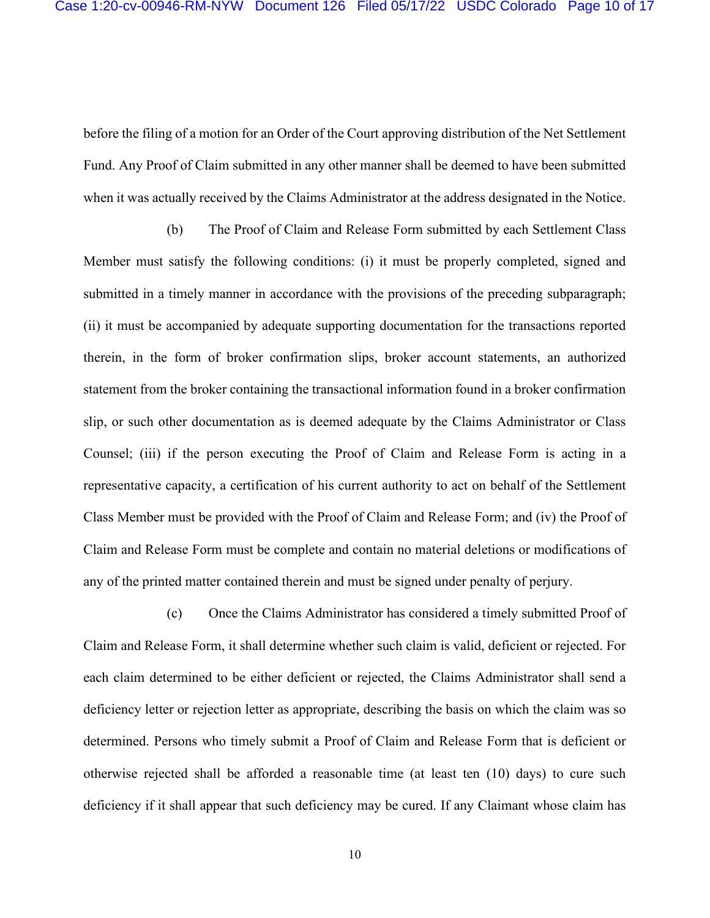before the filing of a motion for an Order of the Court approving distribution of the Net Settlement Fund. Any Proof of Claim submitted in any other manner shall be deemed to have been submitted when it was actually received by the Claims Administrator at the address designated in the Notice.

(b) The Proof of Claim and Release Form submitted by each Settlement Class Member must satisfy the following conditions: (i) it must be properly completed, signed and submitted in a timely manner in accordance with the provisions of the preceding subparagraph; (ii) it must be accompanied by adequate supporting documentation for the transactions reported therein, in the form of broker confirmation slips, broker account statements, an authorized statement from the broker containing the transactional information found in a broker confirmation slip, or such other documentation as is deemed adequate by the Claims Administrator or Class Counsel; (iii) if the person executing the Proof of Claim and Release Form is acting in a representative capacity, a certification of his current authority to act on behalf of the Settlement Class Member must be provided with the Proof of Claim and Release Form; and (iv) the Proof of Claim and Release Form must be complete and contain no material deletions or modifications of any of the printed matter contained therein and must be signed under penalty of perjury.

(c) Once the Claims Administrator has considered a timely submitted Proof of Claim and Release Form, it shall determine whether such claim is valid, deficient or rejected. For each claim determined to be either deficient or rejected, the Claims Administrator shall send a deficiency letter or rejection letter as appropriate, describing the basis on which the claim was so determined. Persons who timely submit a Proof of Claim and Release Form that is deficient or otherwise rejected shall be afforded a reasonable time (at least ten (10) days) to cure such deficiency if it shall appear that such deficiency may be cured. If any Claimant whose claim has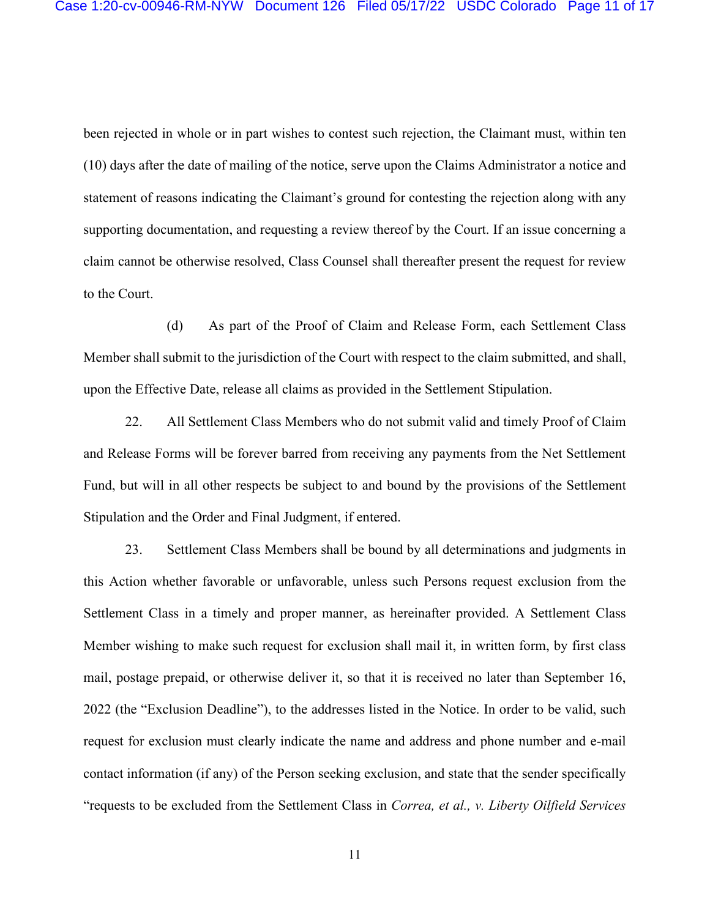been rejected in whole or in part wishes to contest such rejection, the Claimant must, within ten (10) days after the date of mailing of the notice, serve upon the Claims Administrator a notice and statement of reasons indicating the Claimant's ground for contesting the rejection along with any supporting documentation, and requesting a review thereof by the Court. If an issue concerning a claim cannot be otherwise resolved, Class Counsel shall thereafter present the request for review to the Court.

(d) As part of the Proof of Claim and Release Form, each Settlement Class Member shall submit to the jurisdiction of the Court with respect to the claim submitted, and shall, upon the Effective Date, release all claims as provided in the Settlement Stipulation.

22. All Settlement Class Members who do not submit valid and timely Proof of Claim and Release Forms will be forever barred from receiving any payments from the Net Settlement Fund, but will in all other respects be subject to and bound by the provisions of the Settlement Stipulation and the Order and Final Judgment, if entered.

23. Settlement Class Members shall be bound by all determinations and judgments in this Action whether favorable or unfavorable, unless such Persons request exclusion from the Settlement Class in a timely and proper manner, as hereinafter provided. A Settlement Class Member wishing to make such request for exclusion shall mail it, in written form, by first class mail, postage prepaid, or otherwise deliver it, so that it is received no later than September 16, 2022 (the "Exclusion Deadline"), to the addresses listed in the Notice. In order to be valid, such request for exclusion must clearly indicate the name and address and phone number and e-mail contact information (if any) of the Person seeking exclusion, and state that the sender specifically "requests to be excluded from the Settlement Class in *Correa, et al., v. Liberty Oilfield Services*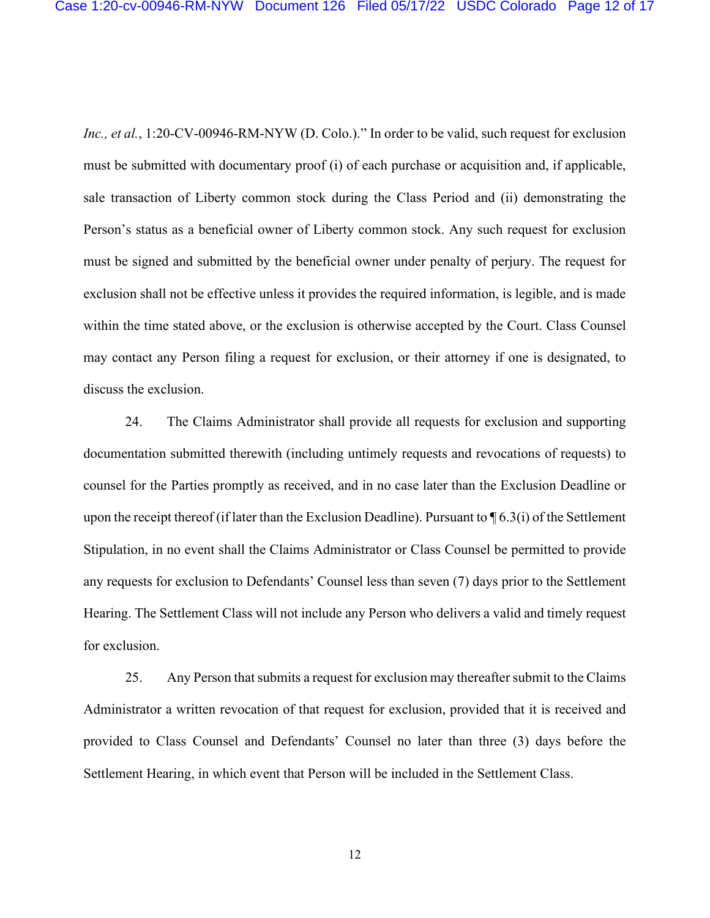*Inc., et al.*, 1:20-CV-00946-RM-NYW (D. Colo.)." In order to be valid, such request for exclusion must be submitted with documentary proof (i) of each purchase or acquisition and, if applicable, sale transaction of Liberty common stock during the Class Period and (ii) demonstrating the Person's status as a beneficial owner of Liberty common stock. Any such request for exclusion must be signed and submitted by the beneficial owner under penalty of perjury. The request for exclusion shall not be effective unless it provides the required information, is legible, and is made within the time stated above, or the exclusion is otherwise accepted by the Court. Class Counsel may contact any Person filing a request for exclusion, or their attorney if one is designated, to discuss the exclusion.

24. The Claims Administrator shall provide all requests for exclusion and supporting documentation submitted therewith (including untimely requests and revocations of requests) to counsel for the Parties promptly as received, and in no case later than the Exclusion Deadline or upon the receipt thereof (if later than the Exclusion Deadline). Pursuant to ¶ 6.3(i) of the Settlement Stipulation, in no event shall the Claims Administrator or Class Counsel be permitted to provide any requests for exclusion to Defendants' Counsel less than seven (7) days prior to the Settlement Hearing. The Settlement Class will not include any Person who delivers a valid and timely request for exclusion.

25. Any Person that submits a request for exclusion may thereafter submit to the Claims Administrator a written revocation of that request for exclusion, provided that it is received and provided to Class Counsel and Defendants' Counsel no later than three (3) days before the Settlement Hearing, in which event that Person will be included in the Settlement Class.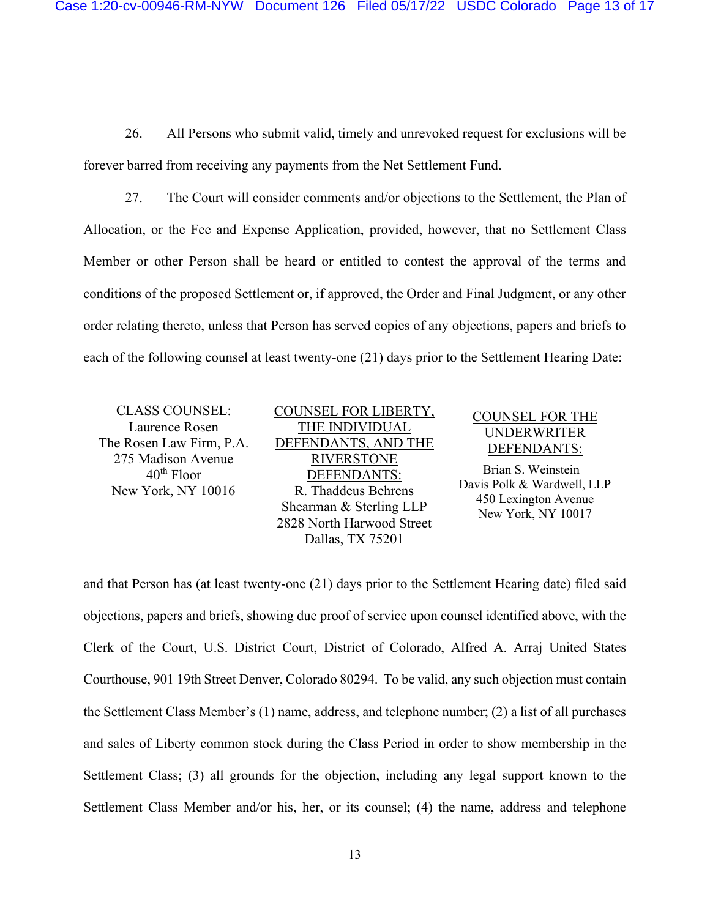26. All Persons who submit valid, timely and unrevoked request for exclusions will be forever barred from receiving any payments from the Net Settlement Fund.

27. The Court will consider comments and/or objections to the Settlement, the Plan of Allocation, or the Fee and Expense Application, provided, however, that no Settlement Class Member or other Person shall be heard or entitled to contest the approval of the terms and conditions of the proposed Settlement or, if approved, the Order and Final Judgment, or any other order relating thereto, unless that Person has served copies of any objections, papers and briefs to each of the following counsel at least twenty-one (21) days prior to the Settlement Hearing Date:

CLASS COUNSEL: Laurence Rosen The Rosen Law Firm, P.A. 275 Madison Avenue  $40<sup>th</sup>$  Floor New York, NY 10016

COUNSEL FOR LIBERTY, THE INDIVIDUAL DEFENDANTS, AND THE RIVERSTONE DEFENDANTS: R. Thaddeus Behrens Shearman & Sterling LLP 2828 North Harwood Street Dallas, TX 75201

## COUNSEL FOR THE UNDERWRITER DEFENDANTS:

 Brian S. Weinstein Davis Polk & Wardwell, LLP 450 Lexington Avenue New York, NY 10017

and that Person has (at least twenty-one (21) days prior to the Settlement Hearing date) filed said objections, papers and briefs, showing due proof of service upon counsel identified above, with the Clerk of the Court, U.S. District Court, District of Colorado, Alfred A. Arraj United States Courthouse, 901 19th Street Denver, Colorado 80294. To be valid, any such objection must contain the Settlement Class Member's (1) name, address, and telephone number; (2) a list of all purchases and sales of Liberty common stock during the Class Period in order to show membership in the Settlement Class; (3) all grounds for the objection, including any legal support known to the Settlement Class Member and/or his, her, or its counsel; (4) the name, address and telephone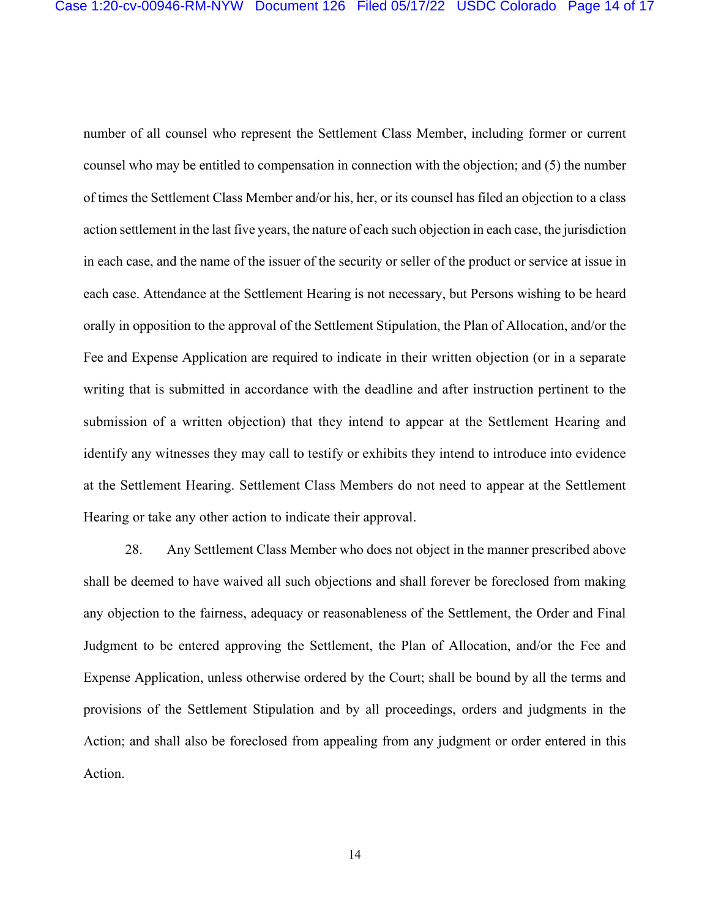number of all counsel who represent the Settlement Class Member, including former or current counsel who may be entitled to compensation in connection with the objection; and (5) the number of times the Settlement Class Member and/or his, her, or its counsel has filed an objection to a class action settlement in the last five years, the nature of each such objection in each case, the jurisdiction in each case, and the name of the issuer of the security or seller of the product or service at issue in each case. Attendance at the Settlement Hearing is not necessary, but Persons wishing to be heard orally in opposition to the approval of the Settlement Stipulation, the Plan of Allocation, and/or the Fee and Expense Application are required to indicate in their written objection (or in a separate writing that is submitted in accordance with the deadline and after instruction pertinent to the submission of a written objection) that they intend to appear at the Settlement Hearing and identify any witnesses they may call to testify or exhibits they intend to introduce into evidence at the Settlement Hearing. Settlement Class Members do not need to appear at the Settlement Hearing or take any other action to indicate their approval.

28. Any Settlement Class Member who does not object in the manner prescribed above shall be deemed to have waived all such objections and shall forever be foreclosed from making any objection to the fairness, adequacy or reasonableness of the Settlement, the Order and Final Judgment to be entered approving the Settlement, the Plan of Allocation, and/or the Fee and Expense Application, unless otherwise ordered by the Court; shall be bound by all the terms and provisions of the Settlement Stipulation and by all proceedings, orders and judgments in the Action; and shall also be foreclosed from appealing from any judgment or order entered in this Action.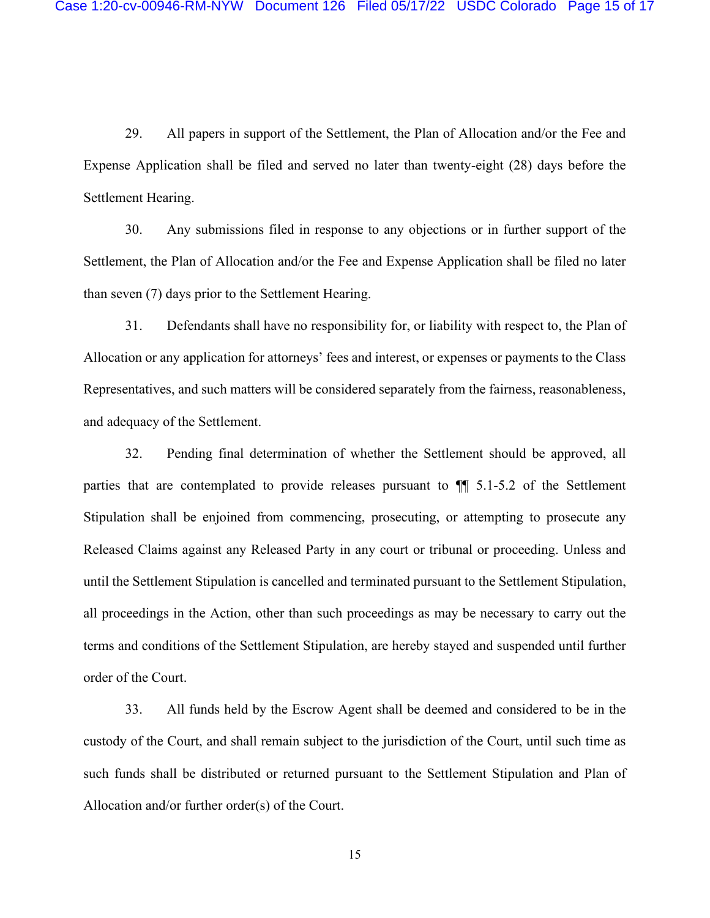29. All papers in support of the Settlement, the Plan of Allocation and/or the Fee and Expense Application shall be filed and served no later than twenty-eight (28) days before the Settlement Hearing.

30. Any submissions filed in response to any objections or in further support of the Settlement, the Plan of Allocation and/or the Fee and Expense Application shall be filed no later than seven (7) days prior to the Settlement Hearing.

31. Defendants shall have no responsibility for, or liability with respect to, the Plan of Allocation or any application for attorneys' fees and interest, or expenses or payments to the Class Representatives, and such matters will be considered separately from the fairness, reasonableness, and adequacy of the Settlement.

32. Pending final determination of whether the Settlement should be approved, all parties that are contemplated to provide releases pursuant to ¶¶ 5.1-5.2 of the Settlement Stipulation shall be enjoined from commencing, prosecuting, or attempting to prosecute any Released Claims against any Released Party in any court or tribunal or proceeding. Unless and until the Settlement Stipulation is cancelled and terminated pursuant to the Settlement Stipulation, all proceedings in the Action, other than such proceedings as may be necessary to carry out the terms and conditions of the Settlement Stipulation, are hereby stayed and suspended until further order of the Court.

33. All funds held by the Escrow Agent shall be deemed and considered to be in the custody of the Court, and shall remain subject to the jurisdiction of the Court, until such time as such funds shall be distributed or returned pursuant to the Settlement Stipulation and Plan of Allocation and/or further order(s) of the Court.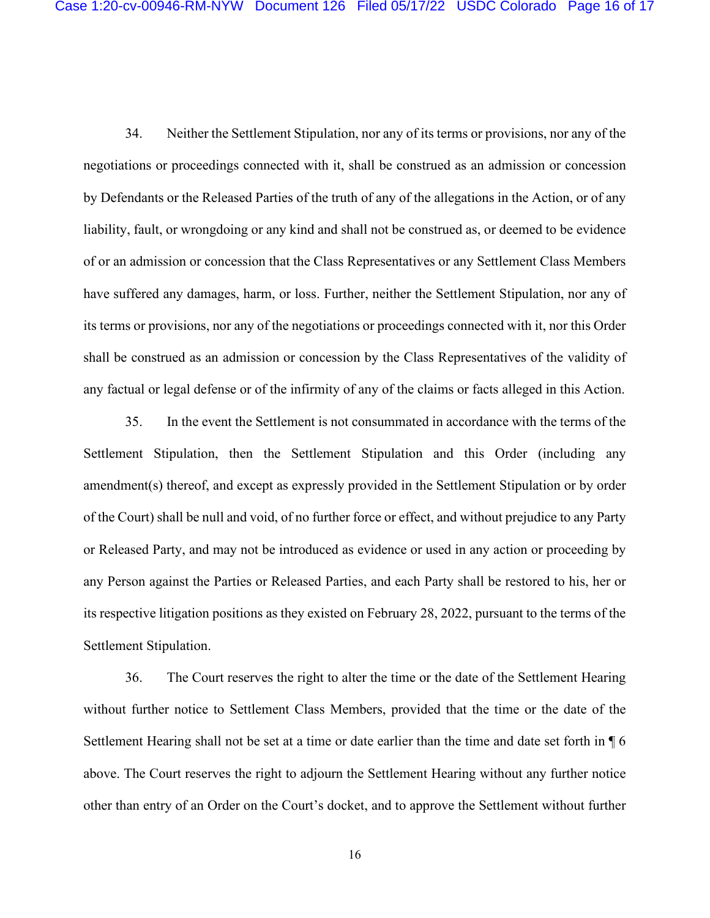34. Neither the Settlement Stipulation, nor any of its terms or provisions, nor any of the negotiations or proceedings connected with it, shall be construed as an admission or concession by Defendants or the Released Parties of the truth of any of the allegations in the Action, or of any liability, fault, or wrongdoing or any kind and shall not be construed as, or deemed to be evidence of or an admission or concession that the Class Representatives or any Settlement Class Members have suffered any damages, harm, or loss. Further, neither the Settlement Stipulation, nor any of its terms or provisions, nor any of the negotiations or proceedings connected with it, nor this Order shall be construed as an admission or concession by the Class Representatives of the validity of any factual or legal defense or of the infirmity of any of the claims or facts alleged in this Action.

35. In the event the Settlement is not consummated in accordance with the terms of the Settlement Stipulation, then the Settlement Stipulation and this Order (including any amendment(s) thereof, and except as expressly provided in the Settlement Stipulation or by order of the Court) shall be null and void, of no further force or effect, and without prejudice to any Party or Released Party, and may not be introduced as evidence or used in any action or proceeding by any Person against the Parties or Released Parties, and each Party shall be restored to his, her or its respective litigation positions as they existed on February 28, 2022, pursuant to the terms of the Settlement Stipulation.

36. The Court reserves the right to alter the time or the date of the Settlement Hearing without further notice to Settlement Class Members, provided that the time or the date of the Settlement Hearing shall not be set at a time or date earlier than the time and date set forth in ¶ 6 above. The Court reserves the right to adjourn the Settlement Hearing without any further notice other than entry of an Order on the Court's docket, and to approve the Settlement without further